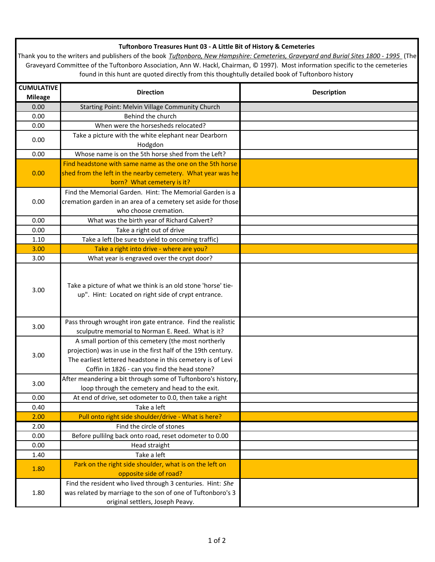## **Tuftonboro Treasures Hunt 03 - A Little Bit of History & Cemeteries**

Thank you to the writers and publishers of the book *Tuftonboro, New Hampshire: Cemeteries, Graveyard and Burial Sites 1800 - 1995* (The Graveyard Committee of the Tuftonboro Association, Ann W. Hackl, Chairman, © 1997). Most information specific to the cemeteries found in this hunt are quoted directly from this thoughtully detailed book of Tuftonboro history

| <b>CUMULATIVE</b><br><b>Mileage</b> | <b>Direction</b>                                                                                                                                                                                                                      | <b>Description</b> |
|-------------------------------------|---------------------------------------------------------------------------------------------------------------------------------------------------------------------------------------------------------------------------------------|--------------------|
| 0.00                                | Starting Point: Melvin Village Community Church                                                                                                                                                                                       |                    |
| 0.00                                | Behind the church                                                                                                                                                                                                                     |                    |
| 0.00                                | When were the horsesheds relocated?                                                                                                                                                                                                   |                    |
|                                     | Take a picture with the white elephant near Dearborn                                                                                                                                                                                  |                    |
| 0.00                                | Hodgdon                                                                                                                                                                                                                               |                    |
| 0.00                                | Whose name is on the 5th horse shed from the Left?                                                                                                                                                                                    |                    |
| 0.00                                | Find headstone with same name as the one on the 5th horse                                                                                                                                                                             |                    |
|                                     | shed from the left in the nearby cemetery. What year was he                                                                                                                                                                           |                    |
|                                     | born? What cemetery is it?                                                                                                                                                                                                            |                    |
| 0.00                                | Find the Memorial Garden. Hint: The Memorial Garden is a                                                                                                                                                                              |                    |
|                                     | cremation garden in an area of a cemetery set aside for those                                                                                                                                                                         |                    |
|                                     | who choose cremation.                                                                                                                                                                                                                 |                    |
| 0.00                                | What was the birth year of Richard Calvert?                                                                                                                                                                                           |                    |
| 0.00                                | Take a right out of drive                                                                                                                                                                                                             |                    |
| 1.10                                | Take a left (be sure to yield to oncoming traffic)                                                                                                                                                                                    |                    |
| 3.00                                | Take a right into drive - where are you?                                                                                                                                                                                              |                    |
| 3.00                                | What year is engraved over the crypt door?                                                                                                                                                                                            |                    |
| 3.00                                | Take a picture of what we think is an old stone 'horse' tie-<br>up". Hint: Located on right side of crypt entrance.                                                                                                                   |                    |
| 3.00                                | Pass through wrought iron gate entrance. Find the realistic<br>sculputre memorial to Norman E. Reed. What is it?                                                                                                                      |                    |
| 3.00                                | A small portion of this cemetery (the most northerly<br>projection) was in use in the first half of the 19th century.<br>The earliest lettered headstone in this cemetery is of Levi<br>Coffin in 1826 - can you find the head stone? |                    |
| 3.00                                | After meandering a bit through some of Tuftonboro's history,<br>loop through the cemetery and head to the exit.                                                                                                                       |                    |
| 0.00                                | At end of drive, set odometer to 0.0, then take a right                                                                                                                                                                               |                    |
| 0.40                                | Take a left                                                                                                                                                                                                                           |                    |
| 2.00                                | Pull onto right side shoulder/drive - What is here?                                                                                                                                                                                   |                    |
| 2.00                                | Find the circle of stones                                                                                                                                                                                                             |                    |
| 0.00                                | Before pullilng back onto road, reset odometer to 0.00                                                                                                                                                                                |                    |
| 0.00                                | Head straight                                                                                                                                                                                                                         |                    |
| 1.40                                | Take a left                                                                                                                                                                                                                           |                    |
| 1.80                                | Park on the right side shoulder, what is on the left on<br>opposite side of road?                                                                                                                                                     |                    |
| 1.80                                | Find the resident who lived through 3 centuries. Hint: She<br>was related by marriage to the son of one of Tuftonboro's 3<br>original settlers, Joseph Peavy.                                                                         |                    |